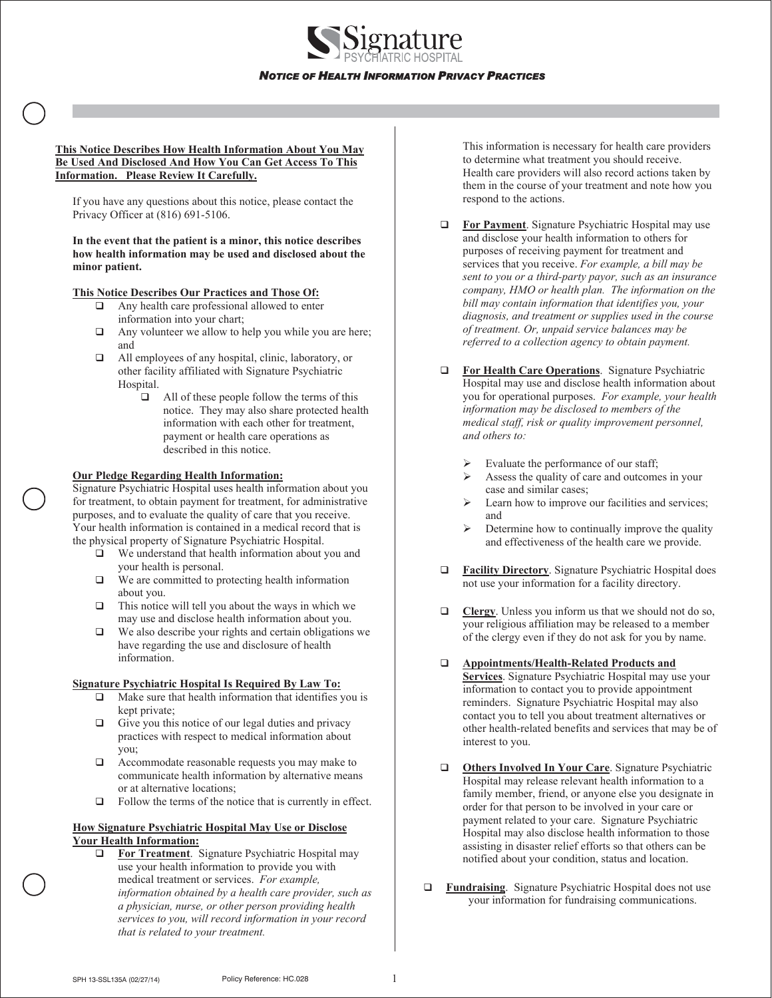

**This Notice Describes How Health Information About You May Be Used And Disclosed And How You Can Get Access To This Information. Please Review It Carefully.** 

If you have any questions about this notice, please contact the Privacy Officer at (816) 691-5106.

**In the event that the patient is a minor, this notice describes how health information may be used and disclosed about the minor patient.** 

# **This Notice Describes Our Practices and Those Of:**

- $\Box$  Any health care professional allowed to enter information into your chart;
- $\Box$  Any volunteer we allow to help you while you are here; and
- All employees of any hospital, clinic, laboratory, or other facility affiliated with Signature Psychiatric Hospital.
	- $\Box$  All of these people follow the terms of this notice. They may also share protected health information with each other for treatment, payment or health care operations as described in this notice.

## **Our Pledge Regarding Health Information:**

Signature Psychiatric Hospital uses health information about you for treatment, to obtain payment for treatment, for administrative purposes, and to evaluate the quality of care that you receive. Your health information is contained in a medical record that is the physical property of Signature Psychiatric Hospital.

- We understand that health information about you and your health is personal.
- $\Box$  We are committed to protecting health information about you.
- $\Box$  This notice will tell you about the ways in which we may use and disclose health information about you.
- $\Box$  We also describe your rights and certain obligations we have regarding the use and disclosure of health information.

## **Signature Psychiatric Hospital Is Required By Law To:**

- $\Box$  Make sure that health information that identifies you is kept private;
- $\Box$  Give you this notice of our legal duties and privacy practices with respect to medical information about you;
- Accommodate reasonable requests you may make to communicate health information by alternative means or at alternative locations;
- $\Box$  Follow the terms of the notice that is currently in effect.

#### **How Signature Psychiatric Hospital May Use or Disclose Your Health Information:**

**For Treatment**. Signature Psychiatric Hospital may use your health information to provide you with medical treatment or services. *For example, information obtained by a health care provider, such as a physician, nurse, or other person providing health services to you, will record information in your record that is related to your treatment.*

This information is necessary for health care providers to determine what treatment you should receive. Health care providers will also record actions taken by them in the course of your treatment and note how you respond to the actions.

- **For Payment**. Signature Psychiatric Hospital may use and disclose your health information to others for purposes of receiving payment for treatment and services that you receive. *For example, a bill may be sent to you or a third-party payor, such as an insurance company, HMO or health plan. The information on the bill may contain information that identifies you, your diagnosis, and treatment or supplies used in the course of treatment. Or, unpaid service balances may be referred to a collection agency to obtain payment.*
- **For Health Care Operations**. Signature Psychiatric Hospital may use and disclose health information about you for operational purposes. *For example, your health information may be disclosed to members of the medical staff, risk or quality improvement personnel, and others to:*
	- $\triangleright$  Evaluate the performance of our staff;
	- $\triangleright$  Assess the quality of care and outcomes in your case and similar cases;
	- $\triangleright$  Learn how to improve our facilities and services; and
	- $\triangleright$  Determine how to continually improve the quality and effectiveness of the health care we provide.
- **Facility Directory**. Signature Psychiatric Hospital does not use your information for a facility directory.
- **Clergy**. Unless you inform us that we should not do so, your religious affiliation may be released to a member of the clergy even if they do not ask for you by name.
- **Appointments/Health-Related Products and Services**. Signature Psychiatric Hospital may use your information to contact you to provide appointment reminders. Signature Psychiatric Hospital may also contact you to tell you about treatment alternatives or other health-related benefits and services that may be of interest to you.
- **Others Involved In Your Care.** Signature Psychiatric Hospital may release relevant health information to a family member, friend, or anyone else you designate in order for that person to be involved in your care or payment related to your care. Signature Psychiatric Hospital may also disclose health information to those assisting in disaster relief efforts so that others can be notified about your condition, status and location.
- **Fundraising**.Signature Psychiatric Hospital does not use your information for fundraising communications.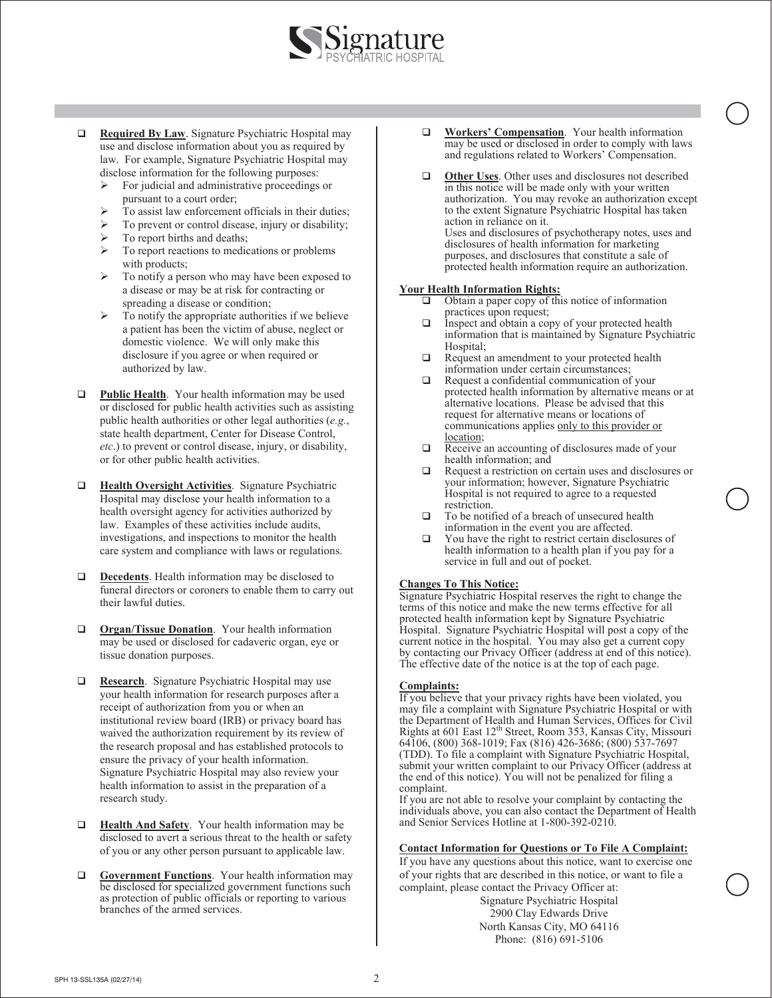

- **Required By Law**. Signature Psychiatric Hospital may use and disclose information about you as required by law. For example, Signature Psychiatric Hospital may disclose information for the following purposes:
	- $\triangleright$  For judicial and administrative proceedings or pursuant to a court order;
	- To assist law enforcement officials in their duties;
	- $\triangleright$  To prevent or control disease, injury or disability;
	- To report births and deaths;
	- ¾ To report reactions to medications or problems with products;
	- To notify a person who may have been exposed to a disease or may be at risk for contracting or spreading a disease or condition;
	- $\triangleright$  To notify the appropriate authorities if we believe a patient has been the victim of abuse, neglect or domestic violence. We will only make this disclosure if you agree or when required or authorized by law.
- **Public Health**. Your health information may be used or disclosed for public health activities such as assisting public health authorities or other legal authorities (*e.g.*, state health department, Center for Disease Control, *etc*.) to prevent or control disease, injury, or disability, or for other public health activities.
- **Health Oversight Activities**. Signature Psychiatric Hospital may disclose your health information to a health oversight agency for activities authorized by law. Examples of these activities include audits, investigations, and inspections to monitor the health care system and compliance with laws or regulations.
- **Decedents**. Health information may be disclosed to funeral directors or coroners to enable them to carry out their lawful duties.
- **Organ/Tissue Donation**. Your health information may be used or disclosed for cadaveric organ, eye or tissue donation purposes.
- **Research**. Signature Psychiatric Hospital may use your health information for research purposes after a receipt of authorization from you or when an institutional review board (IRB) or privacy board has waived the authorization requirement by its review of the research proposal and has established protocols to ensure the privacy of your health information. Signature Psychiatric Hospital may also review your health information to assist in the preparation of a research study.
- **Health And Safety**. Your health information may be disclosed to avert a serious threat to the health or safety of you or any other person pursuant to applicable law.
- **Government Functions**. Your health information may be disclosed for specialized government functions such as protection of public officials or reporting to various branches of the armed services.
- **Workers' Compensation.** Your health information may be used or disclosed in order to comply with laws and regulations related to Workers' Compensation.
- $\Box$  Other Uses. Other uses and disclosures not described in this notice will be made only with your written authorization. You may revoke an authorization except to the extent Signature Psychiatric Hospital has taken action in reliance on it. Uses and disclosures of psychotherapy notes, uses and disclosures of health information for marketing purposes, and disclosures that constitute a sale of protected health information require an authorization.

#### **Your Health Information Rights:**

- $\Box$  Obtain a paper copy of this notice of information practices upon request;
- $\Box$  Inspect and obtain a copy of your protected health information that is maintained by Signature Psychiatric Hospital;
- $\Box$  Request an amendment to your protected health information under certain circumstances;
- Request a confidential communication of your protected health information by alternative means or at alternative locations. Please be advised that this request for alternative means or locations of communications applies only to this provider or location;
- Receive an accounting of disclosures made of your health information; and
- □ Request a restriction on certain uses and disclosures or your information; however, Signature Psychiatric Hospital is not required to agree to a requested restriction.
- $\Box$  To be notified of a breach of unsecured health information in the event you are affected.
- $\Box$  You have the right to restrict certain disclosures of health information to a health plan if you pay for a service in full and out of pocket.

## **Changes To This Notice:**

Signature Psychiatric Hospital reserves the right to change the terms of this notice and make the new terms effective for all protected health information kept by Signature Psychiatric Hospital. Signature Psychiatric Hospital will post a copy of the current notice in the hospital. You may also get a current copy by contacting our Privacy Officer (address at end of this notice). The effective date of the notice is at the top of each page.

## **Complaints:**

If you believe that your privacy rights have been violated, you may file a complaint with Signature Psychiatric Hospital or with the Department of Health and Human Services, Offices for Civil Rights at 601 East 12<sup>th</sup> Street, Room 353, Kansas City, Missouri 64106, (800) 368-1019; Fax (816) 426-3686; (800) 537-7697 (TDD). To file a complaint with Signature Psychiatric Hospital, submit your written complaint to our Privacy Officer (address at the end of this notice). You will not be penalized for filing a complaint.

If you are not able to resolve your complaint by contacting the individuals above, you can also contact the Department of Health and Senior Services Hotline at 1-800-392-0210.

## **Contact Information for Questions or To File A Complaint:**

If you have any questions about this notice, want to exercise one of your rights that are described in this notice, or want to file a complaint, please contact the Privacy Officer at:

Signature Psychiatric Hospital 2900 Clay Edwards Drive North Kansas City, MO 64116 Phone: (816) 691-5106